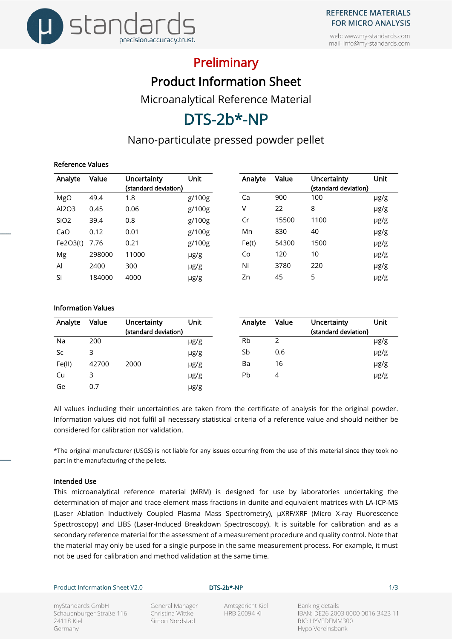

web: www.my-standards.com mail: info@my-standards.com

## **Preliminary**

Product Information Sheet

Microanalytical Reference Material

# DTS-2b\*-NP

### Nano-particulate pressed powder pellet

### Reference Values

| Analyte          | Value  | Uncertainty          | Unit      | Analyte | Value | Uncertainty          | Unit      |
|------------------|--------|----------------------|-----------|---------|-------|----------------------|-----------|
|                  |        | (standard deviation) |           |         |       | (standard deviation) |           |
| MgO              | 49.4   | 1.8                  | g/100g    | Ca      | 900   | 100                  | $\mu$ g/g |
| Al2O3            | 0.45   | 0.06                 | g/100g    | V       | 22    | 8                    | µg/g      |
| SiO <sub>2</sub> | 39.4   | 0.8                  | g/100g    | Cr      | 15500 | 1100                 | µg/g      |
| CaO              | 0.12   | 0.01                 | g/100g    | Mn      | 830   | 40                   | µg/g      |
| Fe2O3(t)         | 7.76   | 0.21                 | g/100g    | Fe(t)   | 54300 | 1500                 | µg/g      |
| Mg               | 298000 | 11000                | $\mu$ g/g | Co      | 120   | 10                   | $\mu$ g/g |
| Al               | 2400   | 300                  | $\mu$ g/g | Ni      | 3780  | 220                  | µg/g      |
| Si               | 184000 | 4000                 | $\mu$ g/g | Zn      | 45    | 5                    | µg/g      |

#### Information Values

| Analyte   | Value | Uncertainty<br>(standard deviation) | Unit      | Analyte   | Value | Uncertainty<br>(standard deviation) | Unit      |
|-----------|-------|-------------------------------------|-----------|-----------|-------|-------------------------------------|-----------|
| Na        | 200   |                                     | $\mu$ g/g | <b>Rb</b> |       |                                     | $\mu$ g/g |
| <b>Sc</b> | 3     |                                     | µg/g      | Sb        | 0.6   |                                     | µg/g      |
| Fe(II)    | 42700 | 2000                                | µg/g      | Ba        | 16    |                                     | µg/g      |
| Cu        | 3     |                                     | µg/g      | Pb        | 4     |                                     | $\mu$ g/g |
| Ge        | 0.7   |                                     | µg/g      |           |       |                                     |           |

All values including their uncertainties are taken from the certificate of analysis for the original powder. Information values did not fulfil all necessary statistical criteria of a reference value and should neither be considered for calibration nor validation.

\*The original manufacturer (USGS) is not liable for any issues occurring from the use of this material since they took no part in the manufacturing of the pellets.

#### Intended Use

This microanalytical reference material (MRM) is designed for use by laboratories undertaking the determination of major and trace element mass fractions in dunite and equivalent matrices with LA-ICP-MS (Laser Ablation Inductively Coupled Plasma Mass Spectrometry), µXRF/XRF (Micro X-ray Fluorescence Spectroscopy) and LIBS (Laser-Induced Breakdown Spectroscopy). It is suitable for calibration and as a secondary reference material for the assessment of a measurement procedure and quality control. Note that the material may only be used for a single purpose in the same measurement process. For example, it must not be used for calibration and method validation at the same time.

Product Information Sheet V2.0 **DTS-2b\*-NP DTS-2b\*-NP** 1/3

myStandards GmbH Schauenburger Straße 116 24118 Kiel Germany

General Manager Christina Wittke Simon Nordstad

Amtsgericht Kiel **HRB 20094 KI** 

Banking details IBAN: DE26 2003 0000 0016 3423 11 BIC: HYVEDEMM300 Hypo Vereinsbank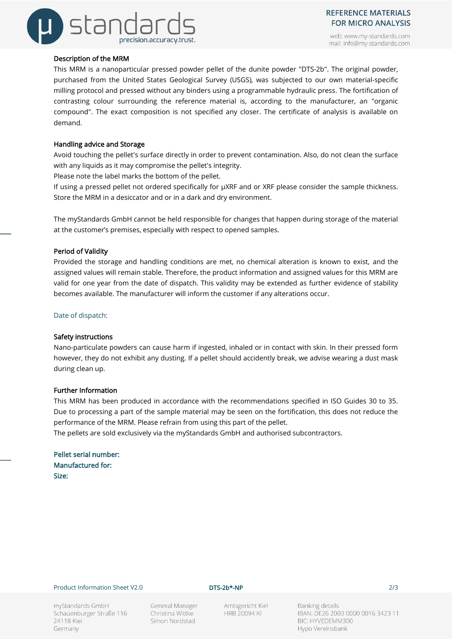

web: www.my-standards.com mail: info@my-standards.com

#### Description of the MRM

This MRM is a nanoparticular pressed powder pellet of the dunite powder "DTS-2b". The original powder, purchased from the United States Geological Survey (USGS), was subjected to our own material-specific milling protocol and pressed without any binders using a programmable hydraulic press. The fortification of contrasting colour surrounding the reference material is, according to the manufacturer, an "organic compound". The exact composition is not specified any closer. The certificate of analysis is available on demand.

#### Handling advice and Storage

Avoid touching the pellet's surface directly in order to prevent contamination. Also, do not clean the surface with any liquids as it may compromise the pellet's integrity.

Please note the label marks the bottom of the pellet.

If using a pressed pellet not ordered specifically for µXRF and or XRF please consider the sample thickness. Store the MRM in a desiccator and or in a dark and dry environment.

The myStandards GmbH cannot be held responsible for changes that happen during storage of the material at the customer's premises, especially with respect to opened samples.

#### Period of Validity

Provided the storage and handling conditions are met, no chemical alteration is known to exist, and the assigned values will remain stable. Therefore, the product information and assigned values for this MRM are valid for one year from the date of dispatch. This validity may be extended as further evidence of stability becomes available. The manufacturer will inform the customer if any alterations occur.

Date of dispatch:

#### Safety instructions

Nano-particulate powders can cause harm if ingested, inhaled or in contact with skin. In their pressed form however, they do not exhibit any dusting. If a pellet should accidently break, we advise wearing a dust mask during clean up.

#### Further Information

This MRM has been produced in accordance with the recommendations specified in ISO Guides 30 to 35. Due to processing a part of the sample material may be seen on the fortification, this does not reduce the performance of the MRM. Please refrain from using this part of the pellet.

The pellets are sold exclusively via the myStandards GmbH and authorised subcontractors.

Pellet serial number: Manufactured for: Size:

#### Product Information Sheet V2.0 **DTS-2b\*-NP DTS-2b\*-NP** 2/3

myStandards GmbH Schauenburger Straße 116 24118 Kiel Germany

General Manager Christina Wittke Simon Nordstad

Amtsgericht Kiel **HRB 20094 KI** 

Banking details IBAN: DE26 2003 0000 0016 3423 11 BIC: HYVEDEMM300 Hypo Vereinsbank